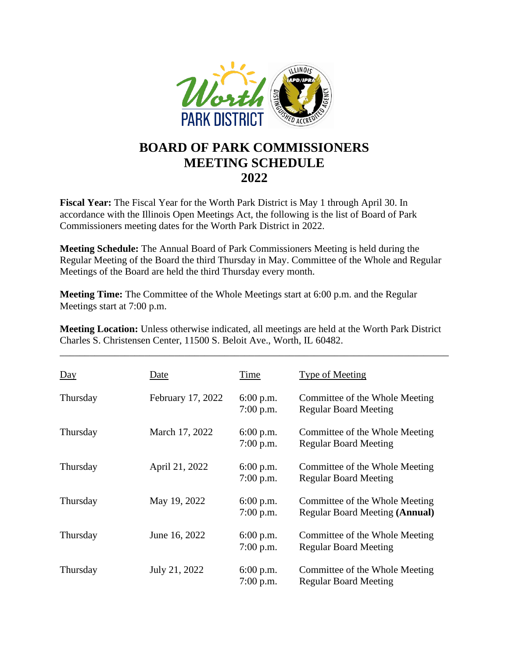

## **BOARD OF PARK COMMISSIONERS MEETING SCHEDULE 2022**

**Fiscal Year:** The Fiscal Year for the Worth Park District is May 1 through April 30. In accordance with the Illinois Open Meetings Act, the following is the list of Board of Park Commissioners meeting dates for the Worth Park District in 2022.

**Meeting Schedule:** The Annual Board of Park Commissioners Meeting is held during the Regular Meeting of the Board the third Thursday in May. Committee of the Whole and Regular Meetings of the Board are held the third Thursday every month.

**Meeting Time:** The Committee of the Whole Meetings start at 6:00 p.m. and the Regular Meetings start at 7:00 p.m.

**Meeting Location:** Unless otherwise indicated, all meetings are held at the Worth Park District Charles S. Christensen Center, 11500 S. Beloit Ave., Worth, IL 60482.

\_\_\_\_\_\_\_\_\_\_\_\_\_\_\_\_\_\_\_\_\_\_\_\_\_\_\_\_\_\_\_\_\_\_\_\_\_\_\_\_\_\_\_\_\_\_\_\_\_\_\_\_\_\_\_\_\_\_\_\_\_\_\_\_\_\_\_\_\_\_\_\_\_\_\_\_\_\_

| $\underline{Day}$ | Date              | Time                       | <b>Type of Meeting</b>                                           |
|-------------------|-------------------|----------------------------|------------------------------------------------------------------|
| Thursday          | February 17, 2022 | $6:00$ p.m.<br>$7:00$ p.m. | Committee of the Whole Meeting<br><b>Regular Board Meeting</b>   |
| Thursday          | March 17, 2022    | $6:00$ p.m.<br>$7:00$ p.m. | Committee of the Whole Meeting<br><b>Regular Board Meeting</b>   |
| Thursday          | April 21, 2022    | $6:00$ p.m.<br>$7:00$ p.m. | Committee of the Whole Meeting<br><b>Regular Board Meeting</b>   |
| Thursday          | May 19, 2022      | $6:00$ p.m.<br>$7:00$ p.m. | Committee of the Whole Meeting<br>Regular Board Meeting (Annual) |
| Thursday          | June 16, 2022     | $6:00$ p.m.<br>$7:00$ p.m. | Committee of the Whole Meeting<br><b>Regular Board Meeting</b>   |
| Thursday          | July 21, 2022     | $6:00$ p.m.<br>$7:00$ p.m. | Committee of the Whole Meeting<br><b>Regular Board Meeting</b>   |